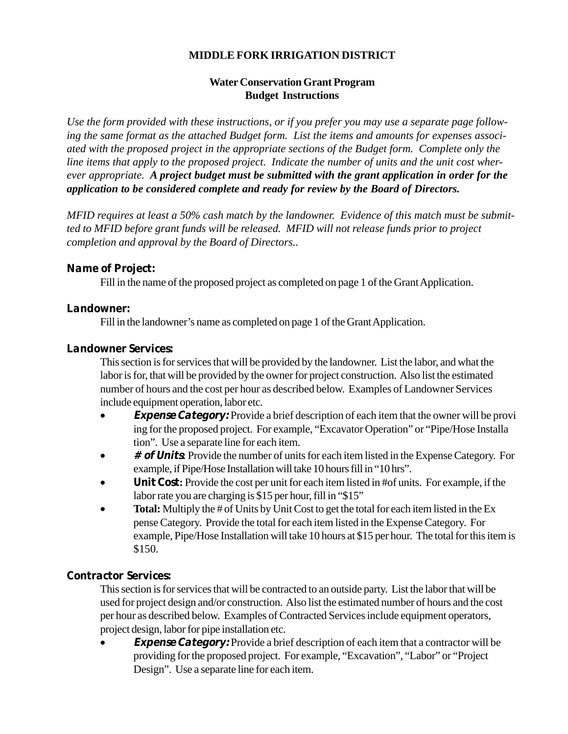# **MIDDLE FORK IRRIGATION DISTRICT**

# **Water Conservation Grant Program Budget Instructions**

*Use the form provided with these instructions, or if you prefer you may use a separate page following the same format as the attached Budget form. List the items and amounts for expenses associated with the proposed project in the appropriate sections of the Budget form. Complete only the line items that apply to the proposed project. Indicate the number of units and the unit cost wherever appropriate. A project budget must be submitted with the grant application in order for the application to be considered complete and ready for review by the Board of Directors.*

*MFID requires at least a 50% cash match by the landowner. Evidence of this match must be submitted to MFID before grant funds will be released. MFID will not release funds prior to project completion and approval by the Board of Directors..*

# **Name of Project:**

Fill in the name of the proposed project as completed on page 1 of the Grant Application.

#### **Landowner:**

Fill in the landowner's name as completed on page 1 of the Grant Application.

#### **Landowner Services:**

This section is for services that will be provided by the landowner. List the labor, and what the labor is for, that will be provided by the owner for project construction. Also list the estimated number of hours and the cost per hour as described below. Examples of Landowner Services include equipment operation, labor etc.

- **Expense Category:** Provide a brief description of each item that the owner will be provi ing for the proposed project. For example, "Excavator Operation" or "Pipe/Hose Installa tion". Use a separate line for each item.
- **# of Units:** Provide the number of units for each item listed in the Expense Category. For example, if Pipe/Hose Installation will take 10 hours fill in "10 hrs".
- **Unit Cost:** Provide the cost per unit for each item listed in #of units. For example, if the labor rate you are charging is \$15 per hour, fill in "\$15"
- Total: Multiply the # of Units by Unit Cost to get the total for each item listed in the Ex pense Category. Provide the total for each item listed in the Expense Category. For example, Pipe/Hose Installation will take 10 hours at \$15 per hour. The total for this item is \$150.

# **Contractor Services:**

This section is for services that will be contracted to an outside party. List the labor that will be used for project design and/or construction. Also list the estimated number of hours and the cost per hour as described below. Examples of Contracted Services include equipment operators, project design, labor for pipe installation etc.

**Expense Category:** Provide a brief description of each item that a contractor will be providing for the proposed project. For example, "Excavation", "Labor" or "Project Design". Use a separate line for each item.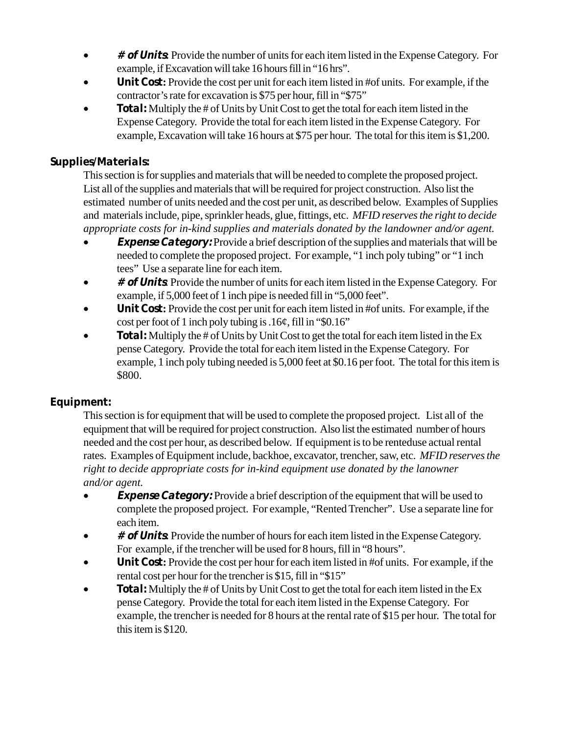- **# of Units:** Provide the number of units for each item listed in the Expense Category. For example, if Excavation will take 16 hours fill in "16 hrs".
- **Unit Cost:** Provide the cost per unit for each item listed in #of units. For example, if the contractor's rate for excavation is \$75 per hour, fill in "\$75"
- **Total:** Multiply the # of Units by Unit Cost to get the total for each item listed in the Expense Category. Provide the total for each item listed in the Expense Category. For example, Excavation will take 16 hours at \$75 per hour. The total for this item is \$1,200.

# **Supplies/Materials:**

This section is for supplies and materials that will be needed to complete the proposed project. List all of the supplies and materials that will be required for project construction. Also list the estimated number of units needed and the cost per unit, as described below. Examples of Supplies and materials include, pipe, sprinkler heads, glue, fittings, etc. *MFID reserves the right to decide appropriate costs for in-kind supplies and materials donated by the landowner and/or agent.*

- **Expense Category:** Provide a brief description of the supplies and materials that will be needed to complete the proposed project. For example, "1 inch poly tubing" or "1 inch tees" Use a separate line for each item.
- **# of Units**: Provide the number of units for each item listed in the Expense Category. For example, if 5,000 feet of 1 inch pipe is needed fill in "5,000 feet".
- **Unit Cost:** Provide the cost per unit for each item listed in #of units. For example, if the cost per foot of 1 inch poly tubing is .16¢, fill in "\$0.16"
- **Total:** Multiply the # of Units by Unit Cost to get the total for each item listed in the Ex pense Category. Provide the total for each item listed in the Expense Category. For example, 1 inch poly tubing needed is 5,000 feet at \$0.16 per foot. The total for this item is \$800.

# **Equipment:**

This section is for equipment that will be used to complete the proposed project. List all of the equipment that will be required for project construction. Also list the estimated number of hours needed and the cost per hour, as described below. If equipment is to be renteduse actual rental rates. Examples of Equipment include, backhoe, excavator, trencher, saw, etc. *MFID reserves the right to decide appropriate costs for in-kind equipment use donated by the lanowner and/or agent.*

- **Expense Category:** Provide a brief description of the equipment that will be used to complete the proposed project. For example, "Rented Trencher". Use a separate line for each item.
- **# of Units:** Provide the number of hours for each item listed in the Expense Category. For example, if the trencher will be used for 8 hours, fill in "8 hours".
- **Unit Cost:** Provide the cost per hour for each item listed in #of units. For example, if the rental cost per hour for the trencher is \$15, fill in "\$15"
- **Total:** Multiply the # of Units by Unit Cost to get the total for each item listed in the Ex pense Category. Provide the total for each item listed in the Expense Category. For example, the trencher is needed for 8 hours at the rental rate of \$15 per hour. The total for this item is \$120.